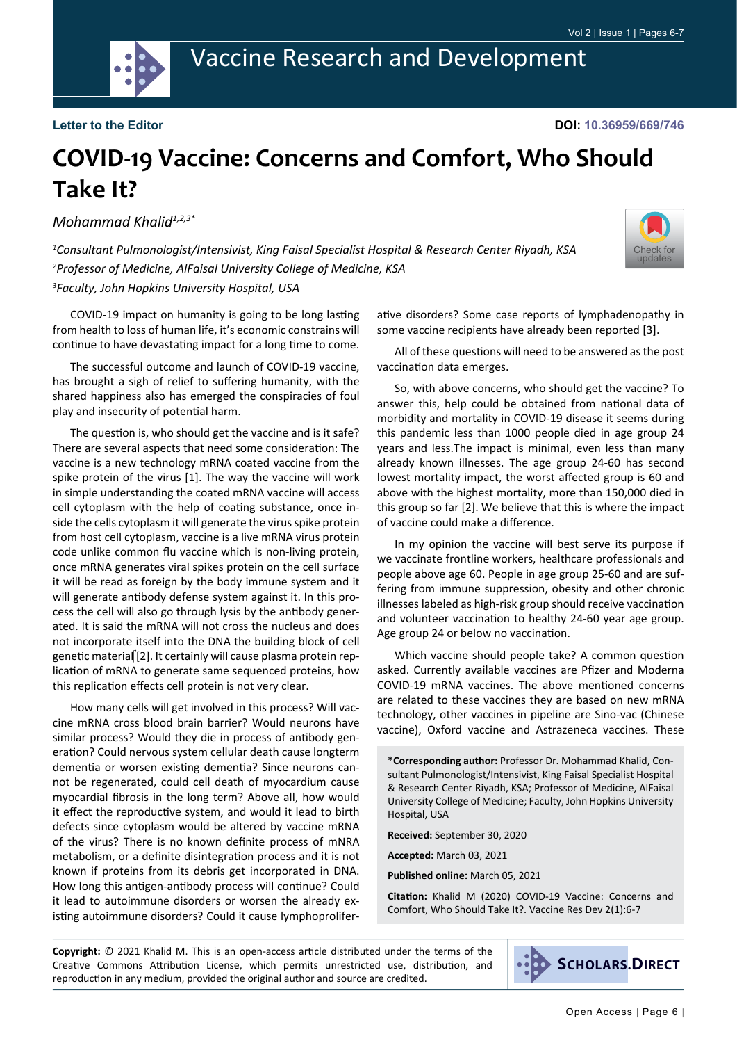

**DOI: 10.36959/669/746**

## **COVID-19 Vaccine: Concerns and Comfort, Who Should Take It?**

*Mohammad Khalid1,2,3\**

*1 Consultant Pulmonologist/Intensivist, King Faisal Specialist Hospital & Research Center Riyadh, KSA 2 Professor of Medicine, AlFaisal University College of Medicine, KSA 3 Faculty, John Hopkins University Hospital, USA*



COVID-19 impact on humanity is going to be long lasting from health to loss of human life, it's economic constrains will continue to have devastating impact for a long time to come.

The successful outcome and launch of COVID-19 vaccine, has brought a sigh of relief to suffering humanity, with the shared happiness also has emerged the conspiracies of foul play and insecurity of potential harm.

The question is, who should get the vaccine and is it safe? There are several aspects that need some consideration: The vaccine is a new technology mRNA coated vaccine from the spike protein of the virus [1]. The way the vaccine will work in simple understanding the coated mRNA vaccine will access cell cytoplasm with the help of coating substance, once inside the cells cytoplasm it will generate the virus spike protein from host cell cytoplasm, vaccine is a live mRNA virus protein code unlike common flu vaccine which is non-living protein, once mRNA generates viral spikes protein on the cell surface it will be read as foreign by the body immune system and it will generate antibody defense system against it. In this process the cell will also go through lysis by the antibody generated. It is said the mRNA will not cross the nucleus and does not incorporate itself into the DNA the building block of cell genetic material [2]. It certainly will cause plasma protein replication of mRNA to generate same sequenced proteins, how this replication effects cell protein is not very clear.

How many cells will get involved in this process? Will vaccine mRNA cross blood brain barrier? Would neurons have similar process? Would they die in process of antibody generation? Could nervous system cellular death cause longterm dementia or worsen existing dementia? Since neurons cannot be regenerated, could cell death of myocardium cause myocardial fibrosis in the long term? Above all, how would it effect the reproductive system, and would it lead to birth defects since cytoplasm would be altered by vaccine mRNA of the virus? There is no known definite process of mNRA metabolism, or a definite disintegration process and it is not known if proteins from its debris get incorporated in DNA. How long this antigen-antibody process will continue? Could it lead to autoimmune disorders or worsen the already existing autoimmune disorders? Could it cause lymphoprolifer-

ative disorders? Some case reports of lymphadenopathy in some vaccine recipients have already been reported [3].

All of these questions will need to be answered as the post vaccination data emerges.

So, with above concerns, who should get the vaccine? To answer this, help could be obtained from national data of morbidity and mortality in COVID-19 disease it seems during this pandemic less than 1000 people died in age group 24 years and less.The impact is minimal, even less than many already known illnesses. The age group 24-60 has second lowest mortality impact, the worst affected group is 60 and above with the highest mortality, more than 150,000 died in this group so far [2]. We believe that this is where the impact of vaccine could make a difference.

In my opinion the vaccine will best serve its purpose if we vaccinate frontline workers, healthcare professionals and people above age 60. People in age group 25-60 and are suffering from immune suppression, obesity and other chronic illnesses labeled as high-risk group should receive vaccination and volunteer vaccination to healthy 24-60 year age group. Age group 24 or below no vaccination.

Which vaccine should people take? A common question asked. Currently available vaccines are Pfizer and Moderna COVID-19 mRNA vaccines. The above mentioned concerns are related to these vaccines they are based on new mRNA technology, other vaccines in pipeline are Sino-vac (Chinese vaccine), Oxford vaccine and Astrazeneca vaccines. These

**\*Corresponding author:** Professor Dr. Mohammad Khalid, Consultant Pulmonologist/Intensivist, King Faisal Specialist Hospital & Research Center Riyadh, KSA; Professor of Medicine, AlFaisal University College of Medicine; Faculty, John Hopkins University Hospital, USA

**Received:** September 30, 2020

**Accepted:** March 03, 2021

**Published online:** March 05, 2021

**Citation:** Khalid M (2020) COVID-19 Vaccine: Concerns and Comfort, Who Should Take It?. Vaccine Res Dev 2(1):6-7

**Copyright:** © 2021 Khalid M. This is an open-access article distributed under the terms of the Creative Commons Attribution License, which permits unrestricted use, distribution, and reproduction in any medium, provided the original author and source are credited.